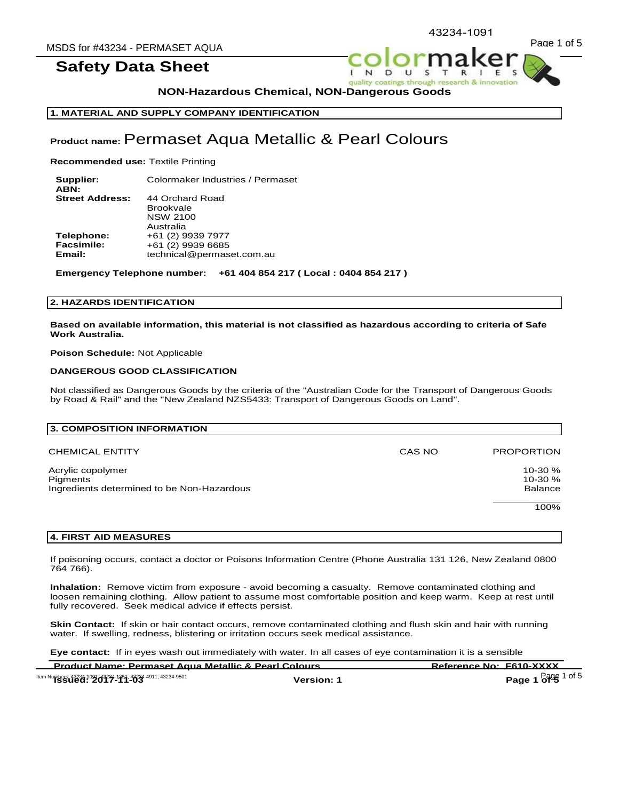43234-1091



 $\mathbf{I}$  $\mathbf{N}$  $\overline{D}$ quality coatings through rese



**NON-Hazardous Chemical, NON-Dangerous Goods** 

**1. MATERIAL AND SUPPLY COMPANY IDENTIFICATION** 

# **Product name:** Permaset Aqua Metallic & Pearl Colours

**Recommended use:** Textile Printing

**Supplier:** Colormaker Industries / Permaset **ABN:**<br>Street Address: **Street Address:** 44 Orchard Road Brookvale NSW 2100 Australia **Telephone:** +61 (2) 9939 7977<br>**Facsimile:** +61 (2) 9939 6685 **Facsimile:** +61 (2) 9939 6685 **Email:** technical@permaset.com.au

**Emergency Telephone number: +61 404 854 217 ( Local : 0404 854 217 )**

#### **2. HAZARDS IDENTIFICATION**

**Based on available information, this material is not classified as hazardous according to criteria of Safe Work Australia.** 

# **Poison Schedule:** Not Applicable

# **DANGEROUS GOOD CLASSIFICATION**

Not classified as Dangerous Goods by the criteria of the "Australian Code for the Transport of Dangerous Goods by Road & Rail" and the "New Zealand NZS5433: Transport of Dangerous Goods on Land".

| 3. COMPOSITION INFORMATION                                                  |        |                                 |
|-----------------------------------------------------------------------------|--------|---------------------------------|
| <b>CHEMICAL ENTITY</b>                                                      | CAS NO | <b>PROPORTION</b>               |
| Acrylic copolymer<br>Pigments<br>Ingredients determined to be Non-Hazardous |        | $10-30%$<br>$10-30%$<br>Balance |
|                                                                             |        | 100%                            |

# **4. FIRST AID MEASURES**

If poisoning occurs, contact a doctor or Poisons Information Centre (Phone Australia 131 126, New Zealand 0800 764 766).

**Inhalation:** Remove victim from exposure - avoid becoming a casualty. Remove contaminated clothing and loosen remaining clothing. Allow patient to assume most comfortable position and keep warm. Keep at rest until fully recovered. Seek medical advice if effects persist.

**Skin Contact:** If skin or hair contact occurs, remove contaminated clothing and flush skin and hair with running water. If swelling, redness, blistering or irritation occurs seek medical assistance.

**Eye contact:** If in eyes wash out immediately with water. In all cases of eye contamination it is a sensible

| <b>Product Name: Permaset Agua Metallic &amp; Pearl Colours</b>                                     |            | Reference No: F610-XXXX |
|-----------------------------------------------------------------------------------------------------|------------|-------------------------|
| ltem Numbers: 43234-10 <b>91 d'3234-1354, 43234-4911, 43234-9501</b><br><b>ISSUECI: 2017-114-03</b> | Version: 1 | <b>Page 1 of 5</b>      |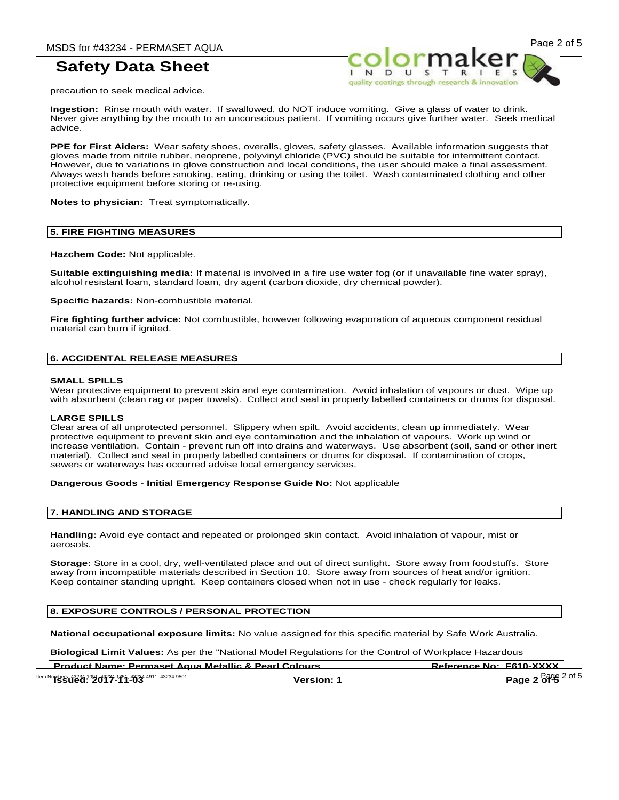quality coatings through research & it



precaution to seek medical advice.

**Ingestion:** Rinse mouth with water. If swallowed, do NOT induce vomiting. Give a glass of water to drink. Never give anything by the mouth to an unconscious patient. If vomiting occurs give further water. Seek medical advice.

**PPE for First Aiders:** Wear safety shoes, overalls, gloves, safety glasses. Available information suggests that gloves made from nitrile rubber, neoprene, polyvinyl chloride (PVC) should be suitable for intermittent contact. However, due to variations in glove construction and local conditions, the user should make a final assessment. Always wash hands before smoking, eating, drinking or using the toilet. Wash contaminated clothing and other protective equipment before storing or re-using.

**Notes to physician:** Treat symptomatically.

#### **5. FIRE FIGHTING MEASURES**

**Hazchem Code:** Not applicable.

**Suitable extinguishing media:** If material is involved in a fire use water fog (or if unavailable fine water spray), alcohol resistant foam, standard foam, dry agent (carbon dioxide, dry chemical powder).

**Specific hazards:** Non-combustible material.

**Fire fighting further advice:** Not combustible, however following evaporation of aqueous component residual material can burn if ignited.

### **6. ACCIDENTAL RELEASE MEASURES**

#### **SMALL SPILLS**

Wear protective equipment to prevent skin and eye contamination. Avoid inhalation of vapours or dust. Wipe up with absorbent (clean rag or paper towels). Collect and seal in properly labelled containers or drums for disposal.

#### **LARGE SPILLS**

Clear area of all unprotected personnel. Slippery when spilt. Avoid accidents, clean up immediately. Wear protective equipment to prevent skin and eye contamination and the inhalation of vapours. Work up wind or increase ventilation. Contain - prevent run off into drains and waterways. Use absorbent (soil, sand or other inert material). Collect and seal in properly labelled containers or drums for disposal. If contamination of crops, sewers or waterways has occurred advise local emergency services.

#### **Dangerous Goods - Initial Emergency Response Guide No:** Not applicable

### **7. HANDLING AND STORAGE**

**Handling:** Avoid eye contact and repeated or prolonged skin contact. Avoid inhalation of vapour, mist or aerosols.

**Storage:** Store in a cool, dry, well-ventilated place and out of direct sunlight. Store away from foodstuffs. Store away from incompatible materials described in Section 10. Store away from sources of heat and/or ignition. Keep container standing upright. Keep containers closed when not in use - check regularly for leaks.

# **8. EXPOSURE CONTROLS / PERSONAL PROTECTION**

**National occupational exposure limits:** No value assigned for this specific material by Safe Work Australia.

**Biological Limit Values:** As per the "National Model Regulations for the Control of Workplace Hazardous

**Product Name: Permaset Aqua Metallic & Pearl Colours Reference No: F610-XXXX Item Numbers: 43234-1091, 43234-4911, 43234-9501**<br> **Version: 1 Page 2 of 5 Page 2 of 5**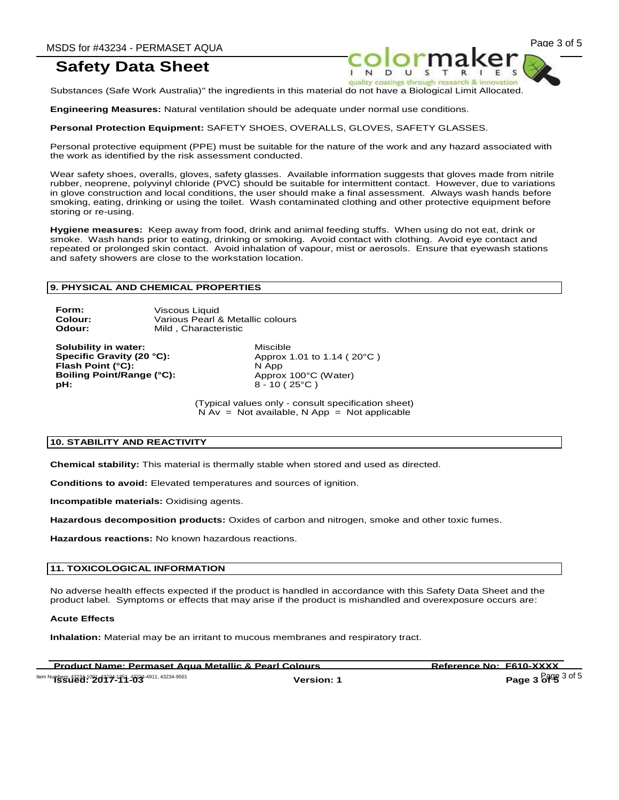quality coatings through

Substances (Safe Work Australia)" the ingredients in this material do not have a Biological Limit Allocated.

**Engineering Measures:** Natural ventilation should be adequate under normal use conditions.

**Personal Protection Equipment:** SAFETY SHOES, OVERALLS, GLOVES, SAFETY GLASSES.

Personal protective equipment (PPE) must be suitable for the nature of the work and any hazard associated with the work as identified by the risk assessment conducted.

Wear safety shoes, overalls, gloves, safety glasses. Available information suggests that gloves made from nitrile rubber, neoprene, polyvinyl chloride (PVC) should be suitable for intermittent contact. However, due to variations in glove construction and local conditions, the user should make a final assessment. Always wash hands before smoking, eating, drinking or using the toilet. Wash contaminated clothing and other protective equipment before storing or re-using.

**Hygiene measures:** Keep away from food, drink and animal feeding stuffs. When using do not eat, drink or smoke. Wash hands prior to eating, drinking or smoking. Avoid contact with clothing. Avoid eye contact and repeated or prolonged skin contact. Avoid inhalation of vapour, mist or aerosols. Ensure that eyewash stations and safety showers are close to the workstation location.

#### **9. PHYSICAL AND CHEMICAL PROPERTIES**

**Form:** Viscous Liquid **Colour:** Various Pearl & Metallic colours **Odour:** Mild , Characteristic

**Solubility in water:** Miscible **Flash Point (°C):** N App **Boiling Point/Range (°C):** Approx 100°C (Water) **pH:** 8 - 10 ( 25<sup>°</sup>C )

**Specific Gravity (20 °C):** Approx 1.01 to 1.14 ( 20°C )

(Typical values only - consult specification sheet)  $N Av = Not available, N App = Not applicable$ 

#### **10. STABILITY AND REACTIVITY**

**Chemical stability:** This material is thermally stable when stored and used as directed.

**Conditions to avoid:** Elevated temperatures and sources of ignition.

**Incompatible materials:** Oxidising agents.

**Hazardous decomposition products:** Oxides of carbon and nitrogen, smoke and other toxic fumes.

**Hazardous reactions:** No known hazardous reactions.

#### **11. TOXICOLOGICAL INFORMATION**

No adverse health effects expected if the product is handled in accordance with this Safety Data Sheet and the product label. Symptoms or effects that may arise if the product is mishandled and overexposure occurs are:

#### **Acute Effects**

**Inhalation:** Material may be an irritant to mucous membranes and respiratory tract.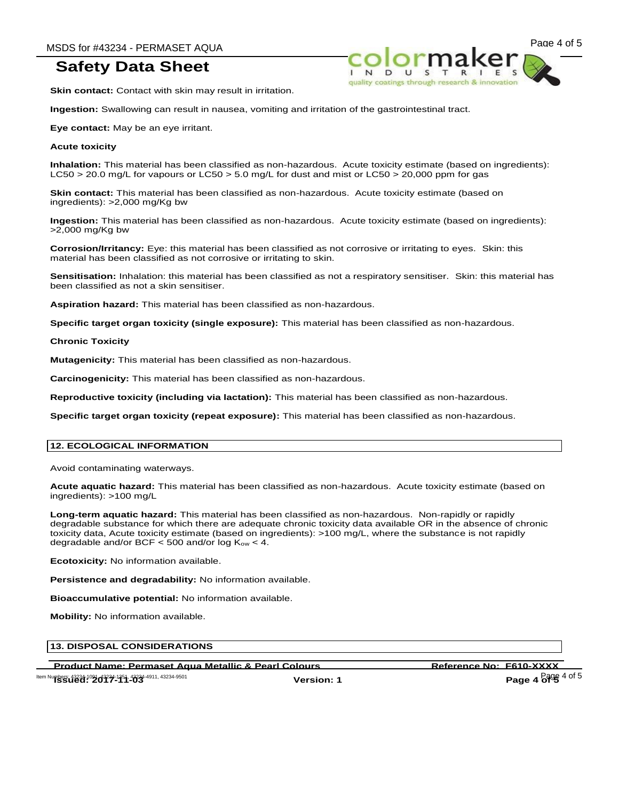MSDS for #43234 - PERMASET AQUA<br>  $\overbrace{ }$   $\overbrace{ }$   $\overbrace{ }$   $\overbrace{ }$   $\overbrace{ }$   $\overbrace{ }$   $\overbrace{ }$   $\overbrace{ }$   $\overbrace{ }$   $\overbrace{ }$   $\overbrace{ }$   $\overbrace{ }$   $\overbrace{ }$   $\overbrace{ }$   $\overbrace{ }$   $\overbrace{ }$   $\overbrace{ }$   $\overbrace{ }$   $\overbrace{ }$   $\overbrace{ }$   $\overbrace{ }$   $\overbrace{ }$   $\overbrace{ }$   $\overbrace$ quality coatings through res

**Skin contact:** Contact with skin may result in irritation.

**Ingestion:** Swallowing can result in nausea, vomiting and irritation of the gastrointestinal tract.

**Eye contact:** May be an eye irritant.

#### **Acute toxicity**

**Inhalation:** This material has been classified as non-hazardous. Acute toxicity estimate (based on ingredients): LC50 > 20.0 mg/L for vapours or LC50 > 5.0 mg/L for dust and mist or LC50 > 20,000 ppm for gas

**Skin contact:** This material has been classified as non-hazardous. Acute toxicity estimate (based on ingredients): >2,000 mg/Kg bw

**Ingestion:** This material has been classified as non-hazardous. Acute toxicity estimate (based on ingredients): >2,000 mg/Kg bw

**Corrosion/Irritancy:** Eye: this material has been classified as not corrosive or irritating to eyes. Skin: this material has been classified as not corrosive or irritating to skin.

**Sensitisation:** Inhalation: this material has been classified as not a respiratory sensitiser. Skin: this material has been classified as not a skin sensitiser.

**Aspiration hazard:** This material has been classified as non-hazardous.

**Specific target organ toxicity (single exposure):** This material has been classified as non-hazardous.

**Chronic Toxicity**

**Mutagenicity:** This material has been classified as non-hazardous.

**Carcinogenicity:** This material has been classified as non-hazardous.

**Reproductive toxicity (including via lactation):** This material has been classified as non-hazardous.

**Specific target organ toxicity (repeat exposure):** This material has been classified as non-hazardous.

# **12. ECOLOGICAL INFORMATION**

Avoid contaminating waterways.

**Acute aquatic hazard:** This material has been classified as non-hazardous. Acute toxicity estimate (based on ingredients): >100 mg/L

**Long-term aquatic hazard:** This material has been classified as non-hazardous. Non-rapidly or rapidly degradable substance for which there are adequate chronic toxicity data available OR in the absence of chronic toxicity data, Acute toxicity estimate (based on ingredients): >100 mg/L, where the substance is not rapidly degradable and/or BCF  $<$  500 and/or log  $K_{ow}$   $<$  4.

**Ecotoxicity:** No information available.

**Persistence and degradability:** No information available.

**Bioaccumulative potential:** No information available.

**Mobility:** No information available.

# **13. DISPOSAL CONSIDERATIONS**

Product Name: Permaset Aqua Metallic & Pearl Colours **Reference No: F610-XXXX**<br>"ISSUEd:"2017-114234-4911, 43234-49501 **Version: 1** Page 4 of 5

**Item Numbers: 43234-1091, 43234-4911, 43234-9501**<br> **Version: 1 Page 4 of 5 Page 4 of 5**